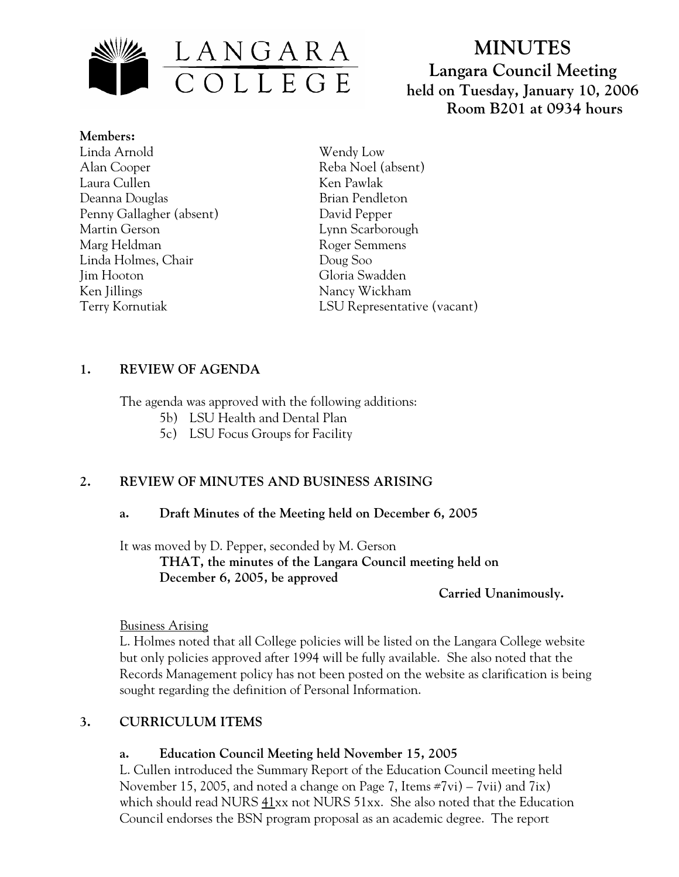

# **MINUTES Langara Council Meeting held on Tuesday, January 10, 2006 Room B201 at 0934 hours**

**Members:** Linda Arnold Alan Cooper Laura Cullen Deanna Douglas Penny Gallagher (absent) Martin Gerson Marg Heldman Linda Holmes, Chair Jim Hooton Ken Jillings Terry Kornutiak

Wendy Low Reba Noel (absent) Ken Pawlak Brian Pendleton David Pepper Lynn Scarborough Roger Semmens Doug Soo Gloria Swadden Nancy Wickham LSU Representative (vacant)

### **1. REVIEW OF AGENDA**

The agenda was approved with the following additions:

- 5b) LSU Health and Dental Plan
- 5c) LSU Focus Groups for Facility

# **2. REVIEW OF MINUTES AND BUSINESS ARISING**

### **a. Draft Minutes of the Meeting held on December 6, 2005**

It was moved by D. Pepper, seconded by M. Gerson

 **THAT, the minutes of the Langara Council meeting held on December 6, 2005, be approved** 

 **Carried Unanimously.** 

### Business Arising

L. Holmes noted that all College policies will be listed on the Langara College website but only policies approved after 1994 will be fully available. She also noted that the Records Management policy has not been posted on the website as clarification is being sought regarding the definition of Personal Information.

# **3. CURRICULUM ITEMS**

### **a. Education Council Meeting held November 15, 2005**

L. Cullen introduced the Summary Report of the Education Council meeting held November 15, 2005, and noted a change on Page 7, Items #7vi) – 7vii) and 7ix) which should read NURS 41xx not NURS 51xx. She also noted that the Education Council endorses the BSN program proposal as an academic degree. The report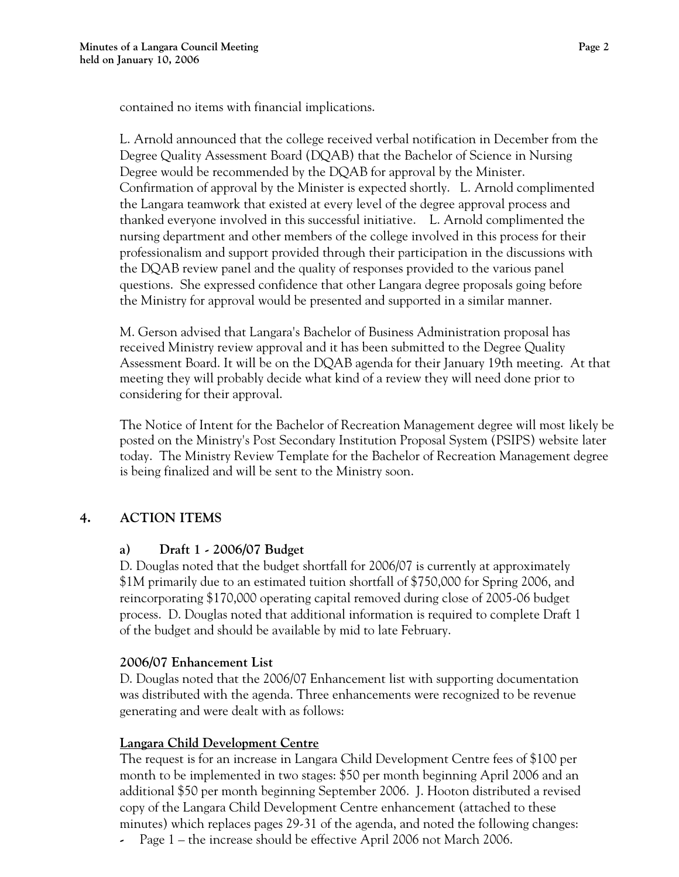contained no items with financial implications.

L. Arnold announced that the college received verbal notification in December from the Degree Quality Assessment Board (DQAB) that the Bachelor of Science in Nursing Degree would be recommended by the DQAB for approval by the Minister. Confirmation of approval by the Minister is expected shortly. L. Arnold complimented the Langara teamwork that existed at every level of the degree approval process and thanked everyone involved in this successful initiative. L. Arnold complimented the nursing department and other members of the college involved in this process for their professionalism and support provided through their participation in the discussions with the DQAB review panel and the quality of responses provided to the various panel questions. She expressed confidence that other Langara degree proposals going before the Ministry for approval would be presented and supported in a similar manner.

M. Gerson advised that Langara's Bachelor of Business Administration proposal has received Ministry review approval and it has been submitted to the Degree Quality Assessment Board. It will be on the DQAB agenda for their January 19th meeting. At that meeting they will probably decide what kind of a review they will need done prior to considering for their approval.

The Notice of Intent for the Bachelor of Recreation Management degree will most likely be posted on the Ministry's Post Secondary Institution Proposal System (PSIPS) website later today. The Ministry Review Template for the Bachelor of Recreation Management degree is being finalized and will be sent to the Ministry soon.

# **4. ACTION ITEMS**

# **a) Draft 1 - 2006/07 Budget**

D. Douglas noted that the budget shortfall for 2006/07 is currently at approximately \$1M primarily due to an estimated tuition shortfall of \$750,000 for Spring 2006, and reincorporating \$170,000 operating capital removed during close of 2005-06 budget process. D. Douglas noted that additional information is required to complete Draft 1 of the budget and should be available by mid to late February.

# **2006/07 Enhancement List**

D. Douglas noted that the 2006/07 Enhancement list with supporting documentation was distributed with the agenda. Three enhancements were recognized to be revenue generating and were dealt with as follows:

# **Langara Child Development Centre**

The request is for an increase in Langara Child Development Centre fees of \$100 per month to be implemented in two stages: \$50 per month beginning April 2006 and an additional \$50 per month beginning September 2006. J. Hooton distributed a revised copy of the Langara Child Development Centre enhancement (attached to these minutes) which replaces pages 29-31 of the agenda, and noted the following changes:

Page 1 – the increase should be effective April 2006 not March 2006.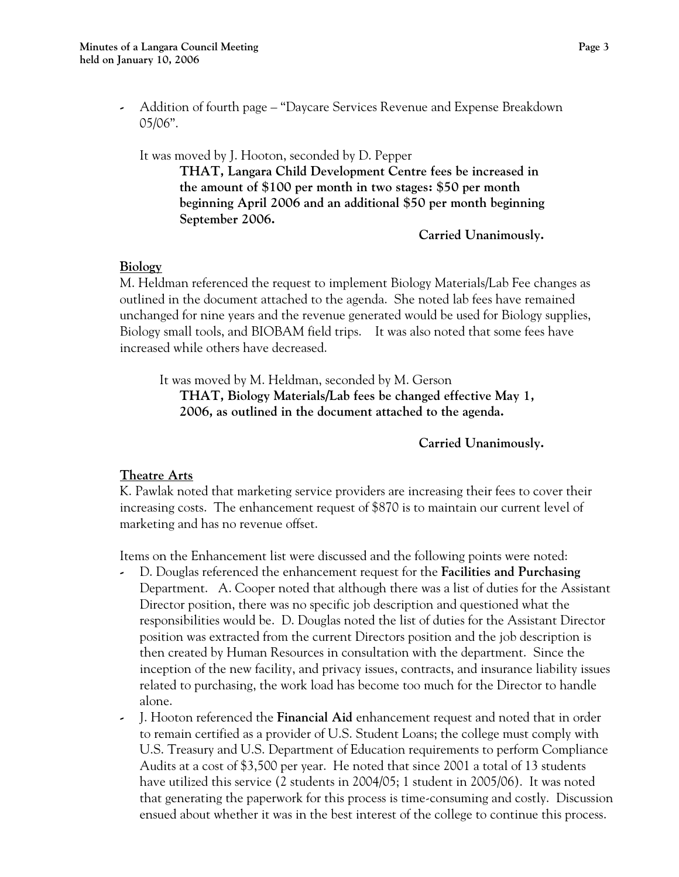**-** Addition of fourth page – "Daycare Services Revenue and Expense Breakdown 05/06".

 It was moved by J. Hooton, seconded by D. Pepper **THAT, Langara Child Development Centre fees be increased in the amount of \$100 per month in two stages: \$50 per month beginning April 2006 and an additional \$50 per month beginning September 2006.** 

 **Carried Unanimously.** 

#### **Biology**

M. Heldman referenced the request to implement Biology Materials/Lab Fee changes as outlined in the document attached to the agenda. She noted lab fees have remained unchanged for nine years and the revenue generated would be used for Biology supplies, Biology small tools, and BIOBAM field trips. It was also noted that some fees have increased while others have decreased.

 It was moved by M. Heldman, seconded by M. Gerson **THAT, Biology Materials/Lab fees be changed effective May 1, 2006, as outlined in the document attached to the agenda.** 

 **Carried Unanimously.** 

#### **Theatre Arts**

K. Pawlak noted that marketing service providers are increasing their fees to cover their increasing costs. The enhancement request of \$870 is to maintain our current level of marketing and has no revenue offset.

Items on the Enhancement list were discussed and the following points were noted:

- **-** D. Douglas referenced the enhancement request for the **Facilities and Purchasing** Department. A. Cooper noted that although there was a list of duties for the Assistant Director position, there was no specific job description and questioned what the responsibilities would be. D. Douglas noted the list of duties for the Assistant Director position was extracted from the current Directors position and the job description is then created by Human Resources in consultation with the department. Since the inception of the new facility, and privacy issues, contracts, and insurance liability issues related to purchasing, the work load has become too much for the Director to handle alone.
- **-** J. Hooton referenced the **Financial Aid** enhancement request and noted that in order to remain certified as a provider of U.S. Student Loans; the college must comply with U.S. Treasury and U.S. Department of Education requirements to perform Compliance Audits at a cost of \$3,500 per year. He noted that since 2001 a total of 13 students have utilized this service (2 students in 2004/05; 1 student in 2005/06). It was noted that generating the paperwork for this process is time-consuming and costly. Discussion ensued about whether it was in the best interest of the college to continue this process.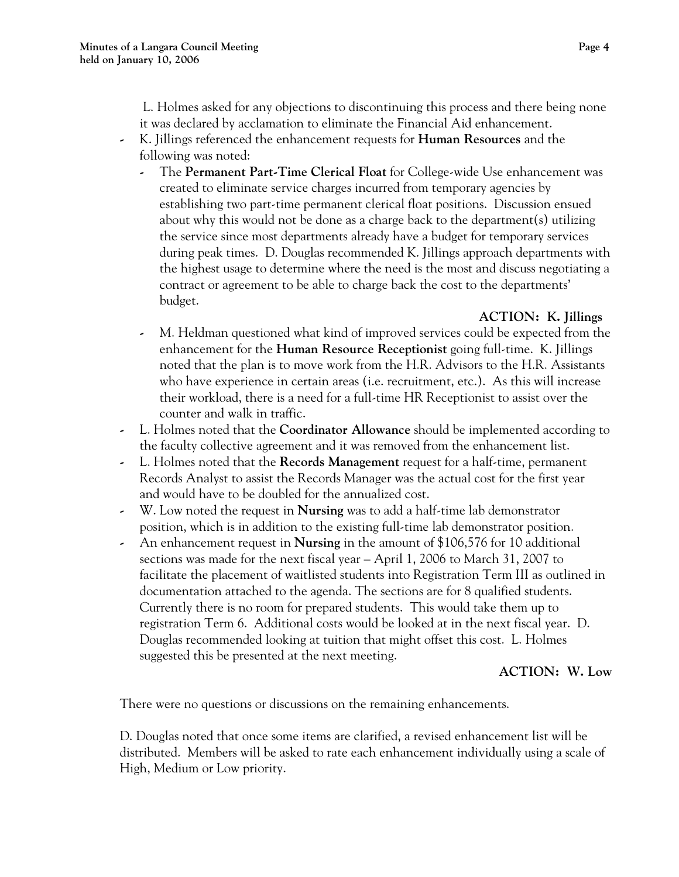L. Holmes asked for any objections to discontinuing this process and there being none it was declared by acclamation to eliminate the Financial Aid enhancement.

- **-** K. Jillings referenced the enhancement requests for **Human Resources** and the following was noted:
	- **-** The **Permanent Part-Time Clerical Float** for College-wide Use enhancement was created to eliminate service charges incurred from temporary agencies by establishing two part-time permanent clerical float positions. Discussion ensued about why this would not be done as a charge back to the department(s) utilizing the service since most departments already have a budget for temporary services during peak times. D. Douglas recommended K. Jillings approach departments with the highest usage to determine where the need is the most and discuss negotiating a contract or agreement to be able to charge back the cost to the departments' budget.

### **ACTION: K. Jillings**

- **-** M. Heldman questioned what kind of improved services could be expected from the enhancement for the **Human Resource Receptionist** going full-time. K. Jillings noted that the plan is to move work from the H.R. Advisors to the H.R. Assistants who have experience in certain areas (i.e. recruitment, etc.). As this will increase their workload, there is a need for a full-time HR Receptionist to assist over the counter and walk in traffic.
- **-** L. Holmes noted that the **Coordinator Allowance** should be implemented according to the faculty collective agreement and it was removed from the enhancement list.
- **-** L. Holmes noted that the **Records Management** request for a half-time, permanent Records Analyst to assist the Records Manager was the actual cost for the first year and would have to be doubled for the annualized cost.
- **-** W. Low noted the request in **Nursing** was to add a half-time lab demonstrator position, which is in addition to the existing full-time lab demonstrator position.
- **-** An enhancement request in **Nursing** in the amount of \$106,576 for 10 additional sections was made for the next fiscal year – April 1, 2006 to March 31, 2007 to facilitate the placement of waitlisted students into Registration Term III as outlined in documentation attached to the agenda. The sections are for 8 qualified students. Currently there is no room for prepared students. This would take them up to registration Term 6. Additional costs would be looked at in the next fiscal year. D. Douglas recommended looking at tuition that might offset this cost. L. Holmes suggested this be presented at the next meeting.

### **ACTION: W. Low**

There were no questions or discussions on the remaining enhancements.

D. Douglas noted that once some items are clarified, a revised enhancement list will be distributed. Members will be asked to rate each enhancement individually using a scale of High, Medium or Low priority.